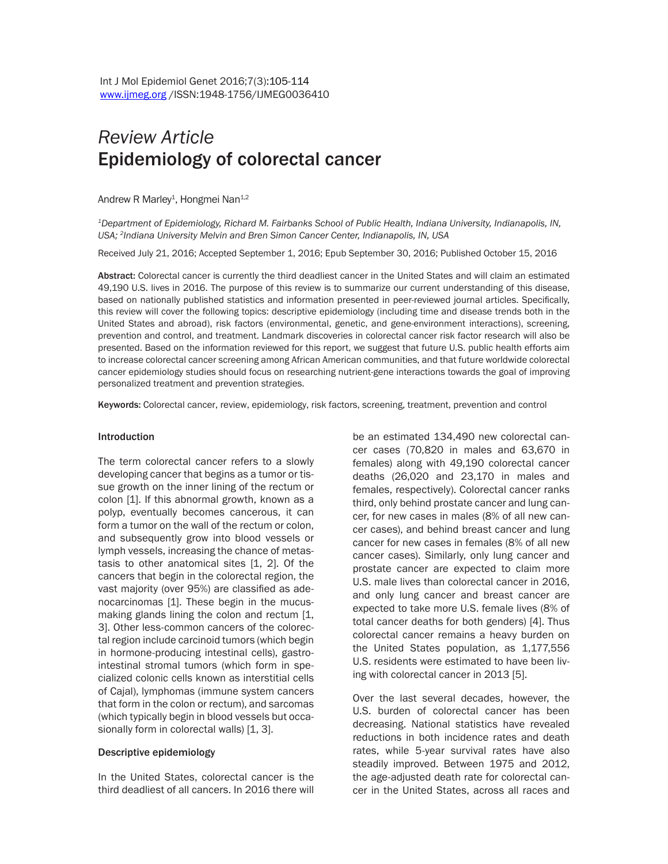# *Review Article*  Epidemiology of colorectal cancer

Andrew R Marley<sup>1</sup>, Hongmei Nan<sup>1,2</sup>

*1Department of Epidemiology, Richard M. Fairbanks School of Public Health, Indiana University, Indianapolis, IN, USA; 2Indiana University Melvin and Bren Simon Cancer Center, Indianapolis, IN, USA*

Received July 21, 2016; Accepted September 1, 2016; Epub September 30, 2016; Published October 15, 2016

Abstract: Colorectal cancer is currently the third deadliest cancer in the United States and will claim an estimated 49,190 U.S. lives in 2016. The purpose of this review is to summarize our current understanding of this disease, based on nationally published statistics and information presented in peer-reviewed journal articles. Specifically, this review will cover the following topics: descriptive epidemiology (including time and disease trends both in the United States and abroad), risk factors (environmental, genetic, and gene-environment interactions), screening, prevention and control, and treatment. Landmark discoveries in colorectal cancer risk factor research will also be presented. Based on the information reviewed for this report, we suggest that future U.S. public health efforts aim to increase colorectal cancer screening among African American communities, and that future worldwide colorectal cancer epidemiology studies should focus on researching nutrient-gene interactions towards the goal of improving personalized treatment and prevention strategies.

Keywords: Colorectal cancer, review, epidemiology, risk factors, screening, treatment, prevention and control

#### Introduction

The term colorectal cancer refers to a slowly developing cancer that begins as a tumor or tissue growth on the inner lining of the rectum or colon [1]. If this abnormal growth, known as a polyp, eventually becomes cancerous, it can form a tumor on the wall of the rectum or colon, and subsequently grow into blood vessels or lymph vessels, increasing the chance of metastasis to other anatomical sites [1, 2]. Of the cancers that begin in the colorectal region, the vast majority (over 95%) are classified as adenocarcinomas [1]. These begin in the mucusmaking glands lining the colon and rectum [1, 3]. Other less-common cancers of the colorectal region include carcinoid tumors (which begin in hormone-producing intestinal cells), gastrointestinal stromal tumors (which form in specialized colonic cells known as interstitial cells of Cajal), lymphomas (immune system cancers that form in the colon or rectum), and sarcomas (which typically begin in blood vessels but occasionally form in colorectal walls) [1, 3].

#### Descriptive epidemiology

In the United States, colorectal cancer is the third deadliest of all cancers. In 2016 there will be an estimated 134,490 new colorectal cancer cases (70,820 in males and 63,670 in females) along with 49,190 colorectal cancer deaths (26,020 and 23,170 in males and females, respectively). Colorectal cancer ranks third, only behind prostate cancer and lung cancer, for new cases in males (8% of all new cancer cases), and behind breast cancer and lung cancer for new cases in females (8% of all new cancer cases). Similarly, only lung cancer and prostate cancer are expected to claim more U.S. male lives than colorectal cancer in 2016, and only lung cancer and breast cancer are expected to take more U.S. female lives (8% of total cancer deaths for both genders) [4]. Thus colorectal cancer remains a heavy burden on the United States population, as 1,177,556 U.S. residents were estimated to have been living with colorectal cancer in 2013 [5].

Over the last several decades, however, the U.S. burden of colorectal cancer has been decreasing. National statistics have revealed reductions in both incidence rates and death rates, while 5-year survival rates have also steadily improved. Between 1975 and 2012, the age-adjusted death rate for colorectal cancer in the United States, across all races and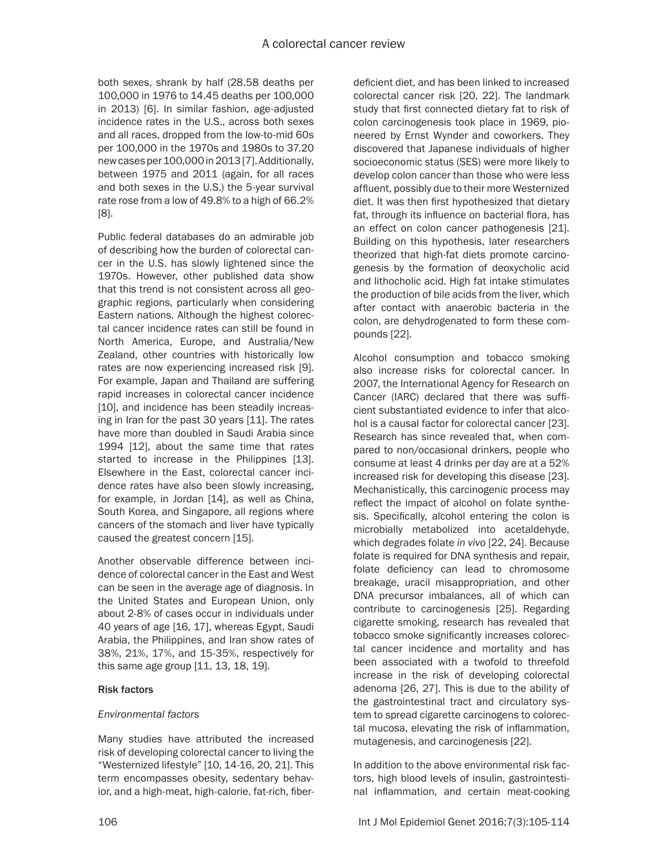both sexes, shrank by half (28.58 deaths per 100,000 in 1976 to 14.45 deaths per 100,000 in 2013) [6]. In similar fashion, age-adjusted incidence rates in the U.S., across both sexes and all races, dropped from the low-to-mid 60s per 100,000 in the 1970s and 1980s to 37.20 new cases per 100,000 in 2013 [7]. Additionally, between 1975 and 2011 (again, for all races and both sexes in the U.S.) the 5-year survival rate rose from a low of 49.8% to a high of 66.2% [8].

Public federal databases do an admirable job of describing how the burden of colorectal cancer in the U.S. has slowly lightened since the 1970s. However, other published data show that this trend is not consistent across all geographic regions, particularly when considering Eastern nations. Although the highest colorectal cancer incidence rates can still be found in North America, Europe, and Australia/New Zealand, other countries with historically low rates are now experiencing increased risk [9]. For example, Japan and Thailand are suffering rapid increases in colorectal cancer incidence [10], and incidence has been steadily increasing in Iran for the past 30 years [11]. The rates have more than doubled in Saudi Arabia since 1994 [12], about the same time that rates started to increase in the Philippines [13]. Elsewhere in the East, colorectal cancer incidence rates have also been slowly increasing, for example, in Jordan [14], as well as China, South Korea, and Singapore, all regions where cancers of the stomach and liver have typically caused the greatest concern [15].

Another observable difference between incidence of colorectal cancer in the East and West can be seen in the average age of diagnosis. In the United States and European Union, only about 2-8% of cases occur in individuals under 40 years of age [16, 17], whereas Egypt, Saudi Arabia, the Philippines, and Iran show rates of 38%, 21%, 17%, and 15-35%, respectively for this same age group [11, 13, 18, 19].

### Risk factors

# *Environmental factors*

Many studies have attributed the increased risk of developing colorectal cancer to living the "Westernized lifestyle" [10, 14-16, 20, 21]. This term encompasses obesity, sedentary behavior, and a high-meat, high-calorie, fat-rich, fiber-

deficient diet, and has been linked to increased colorectal cancer risk [20, 22]. The landmark study that first connected dietary fat to risk of colon carcinogenesis took place in 1969, pioneered by Ernst Wynder and coworkers. They discovered that Japanese individuals of higher socioeconomic status (SES) were more likely to develop colon cancer than those who were less affluent, possibly due to their more Westernized diet. It was then first hypothesized that dietary fat, through its influence on bacterial flora, has an effect on colon cancer pathogenesis [21]. Building on this hypothesis, later researchers theorized that high-fat diets promote carcinogenesis by the formation of deoxycholic acid and lithocholic acid. High fat intake stimulates the production of bile acids from the liver, which after contact with anaerobic bacteria in the colon, are dehydrogenated to form these compounds [22].

Alcohol consumption and tobacco smoking also increase risks for colorectal cancer. In 2007, the International Agency for Research on Cancer (IARC) declared that there was sufficient substantiated evidence to infer that alcohol is a causal factor for colorectal cancer [23]. Research has since revealed that, when compared to non/occasional drinkers, people who consume at least 4 drinks per day are at a 52% increased risk for developing this disease [23]. Mechanistically, this carcinogenic process may reflect the impact of alcohol on folate synthesis. Specifically, alcohol entering the colon is microbially metabolized into acetaldehyde, which degrades folate *in vivo* [22, 24]. Because folate is required for DNA synthesis and repair, folate deficiency can lead to chromosome breakage, uracil misappropriation, and other DNA precursor imbalances, all of which can contribute to carcinogenesis [25]. Regarding cigarette smoking, research has revealed that tobacco smoke significantly increases colorectal cancer incidence and mortality and has been associated with a twofold to threefold increase in the risk of developing colorectal adenoma [26, 27]. This is due to the ability of the gastrointestinal tract and circulatory system to spread cigarette carcinogens to colorectal mucosa, elevating the risk of inflammation, mutagenesis, and carcinogenesis [22].

In addition to the above environmental risk factors, high blood levels of insulin, gastrointestinal inflammation, and certain meat-cooking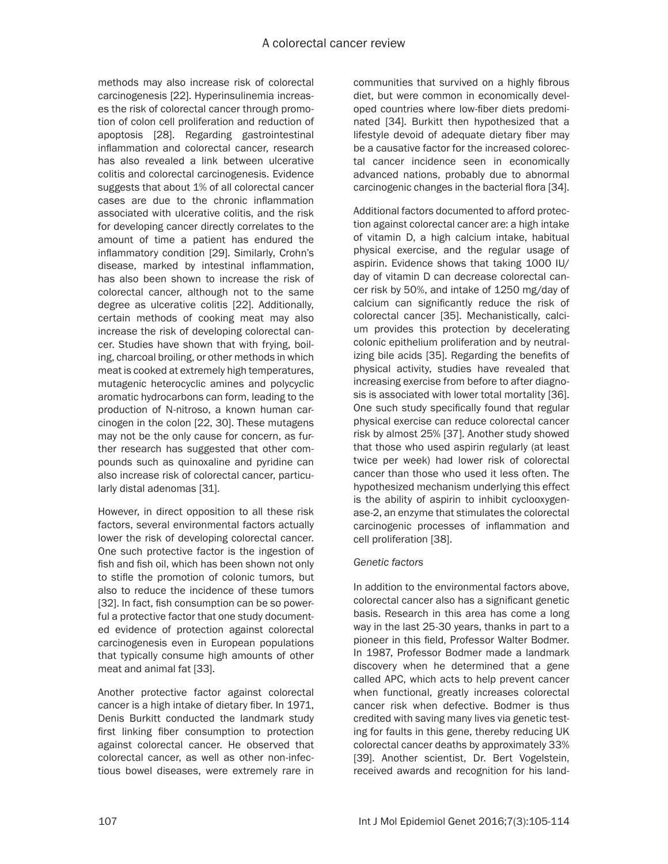methods may also increase risk of colorectal carcinogenesis [22]. Hyperinsulinemia increases the risk of colorectal cancer through promotion of colon cell proliferation and reduction of apoptosis [28]. Regarding gastrointestinal inflammation and colorectal cancer, research has also revealed a link between ulcerative colitis and colorectal carcinogenesis. Evidence suggests that about 1% of all colorectal cancer cases are due to the chronic inflammation associated with ulcerative colitis, and the risk for developing cancer directly correlates to the amount of time a patient has endured the inflammatory condition [29]. Similarly, Crohn's disease, marked by intestinal inflammation, has also been shown to increase the risk of colorectal cancer, although not to the same degree as ulcerative colitis [22]. Additionally, certain methods of cooking meat may also increase the risk of developing colorectal cancer. Studies have shown that with frying, boiling, charcoal broiling, or other methods in which meat is cooked at extremely high temperatures, mutagenic heterocyclic amines and polycyclic aromatic hydrocarbons can form, leading to the production of N-nitroso, a known human carcinogen in the colon [22, 30]. These mutagens may not be the only cause for concern, as further research has suggested that other compounds such as quinoxaline and pyridine can also increase risk of colorectal cancer, particularly distal adenomas [31].

However, in direct opposition to all these risk factors, several environmental factors actually lower the risk of developing colorectal cancer. One such protective factor is the ingestion of fish and fish oil, which has been shown not only to stifle the promotion of colonic tumors, but also to reduce the incidence of these tumors [32]. In fact, fish consumption can be so powerful a protective factor that one study documented evidence of protection against colorectal carcinogenesis even in European populations that typically consume high amounts of other meat and animal fat [33].

Another protective factor against colorectal cancer is a high intake of dietary fiber. In 1971, Denis Burkitt conducted the landmark study first linking fiber consumption to protection against colorectal cancer. He observed that colorectal cancer, as well as other non-infectious bowel diseases, were extremely rare in communities that survived on a highly fibrous diet, but were common in economically developed countries where low-fiber diets predominated [34]. Burkitt then hypothesized that a lifestyle devoid of adequate dietary fiber may be a causative factor for the increased colorectal cancer incidence seen in economically advanced nations, probably due to abnormal carcinogenic changes in the bacterial flora [34].

Additional factors documented to afford protection against colorectal cancer are: a high intake of vitamin D, a high calcium intake, habitual physical exercise, and the regular usage of aspirin. Evidence shows that taking 1000 IU/ day of vitamin D can decrease colorectal cancer risk by 50%, and intake of 1250 mg/day of calcium can significantly reduce the risk of colorectal cancer [35]. Mechanistically, calcium provides this protection by decelerating colonic epithelium proliferation and by neutralizing bile acids [35]. Regarding the benefits of physical activity, studies have revealed that increasing exercise from before to after diagnosis is associated with lower total mortality [36]. One such study specifically found that regular physical exercise can reduce colorectal cancer risk by almost 25% [37]. Another study showed that those who used aspirin regularly (at least twice per week) had lower risk of colorectal cancer than those who used it less often. The hypothesized mechanism underlying this effect is the ability of aspirin to inhibit cyclooxygenase-2, an enzyme that stimulates the colorectal carcinogenic processes of inflammation and cell proliferation [38].

# *Genetic factors*

In addition to the environmental factors above, colorectal cancer also has a significant genetic basis. Research in this area has come a long way in the last 25-30 years, thanks in part to a pioneer in this field, Professor Walter Bodmer. In 1987, Professor Bodmer made a landmark discovery when he determined that a gene called APC, which acts to help prevent cancer when functional, greatly increases colorectal cancer risk when defective. Bodmer is thus credited with saving many lives via genetic testing for faults in this gene, thereby reducing UK colorectal cancer deaths by approximately 33% [39]. Another scientist, Dr. Bert Vogelstein, received awards and recognition for his land-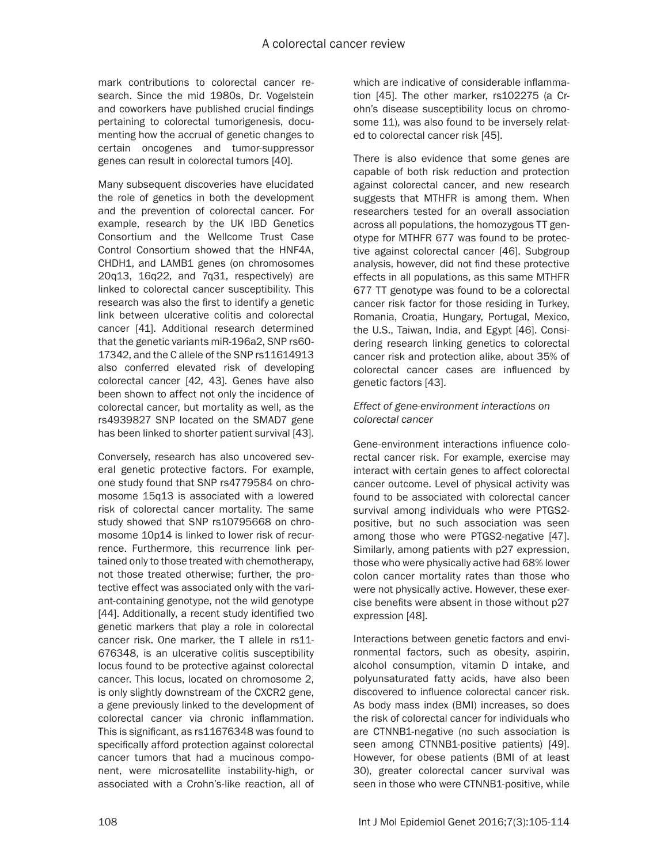mark contributions to colorectal cancer research. Since the mid 1980s, Dr. Vogelstein and coworkers have published crucial findings pertaining to colorectal tumorigenesis, documenting how the accrual of genetic changes to certain oncogenes and tumor-suppressor genes can result in colorectal tumors [40].

Many subsequent discoveries have elucidated the role of genetics in both the development and the prevention of colorectal cancer. For example, research by the UK IBD Genetics Consortium and the Wellcome Trust Case Control Consortium showed that the HNF4A, CHDH1, and LAMB1 genes (on chromosomes 20q13, 16q22, and 7q31, respectively) are linked to colorectal cancer susceptibility. This research was also the first to identify a genetic link between ulcerative colitis and colorectal cancer [41]. Additional research determined that the genetic variants miR-196a2, SNP rs60- 17342, and the C allele of the SNP rs11614913 also conferred elevated risk of developing colorectal cancer [42, 43]. Genes have also been shown to affect not only the incidence of colorectal cancer, but mortality as well, as the rs4939827 SNP located on the SMAD7 gene has been linked to shorter patient survival [43].

Conversely, research has also uncovered several genetic protective factors. For example, one study found that SNP rs4779584 on chromosome 15q13 is associated with a lowered risk of colorectal cancer mortality. The same study showed that SNP rs10795668 on chromosome 10p14 is linked to lower risk of recurrence. Furthermore, this recurrence link pertained only to those treated with chemotherapy, not those treated otherwise; further, the protective effect was associated only with the variant-containing genotype, not the wild genotype [44]. Additionally, a recent study identified two genetic markers that play a role in colorectal cancer risk. One marker, the T allele in rs11- 676348, is an ulcerative colitis susceptibility locus found to be protective against colorectal cancer. This locus, located on chromosome 2, is only slightly downstream of the CXCR2 gene, a gene previously linked to the development of colorectal cancer via chronic inflammation. This is significant, as rs11676348 was found to specifically afford protection against colorectal cancer tumors that had a mucinous component, were microsatellite instability-high, or associated with a Crohn's-like reaction, all of which are indicative of considerable inflammation [45]. The other marker, rs102275 (a Crohn's disease susceptibility locus on chromosome 11), was also found to be inversely related to colorectal cancer risk [45].

There is also evidence that some genes are capable of both risk reduction and protection against colorectal cancer, and new research suggests that MTHFR is among them. When researchers tested for an overall association across all populations, the homozygous TT genotype for MTHFR 677 was found to be protective against colorectal cancer [46]. Subgroup analysis, however, did not find these protective effects in all populations, as this same MTHFR 677 TT genotype was found to be a colorectal cancer risk factor for those residing in Turkey, Romania, Croatia, Hungary, Portugal, Mexico, the U.S., Taiwan, India, and Egypt [46]. Considering research linking genetics to colorectal cancer risk and protection alike, about 35% of colorectal cancer cases are influenced by genetic factors [43].

## *Effect of gene-environment interactions on colorectal cancer*

Gene-environment interactions influence colorectal cancer risk. For example, exercise may interact with certain genes to affect colorectal cancer outcome. Level of physical activity was found to be associated with colorectal cancer survival among individuals who were PTGS2 positive, but no such association was seen among those who were PTGS2-negative [47]. Similarly, among patients with p27 expression, those who were physically active had 68% lower colon cancer mortality rates than those who were not physically active. However, these exercise benefits were absent in those without p27 expression [48].

Interactions between genetic factors and environmental factors, such as obesity, aspirin, alcohol consumption, vitamin D intake, and polyunsaturated fatty acids, have also been discovered to influence colorectal cancer risk. As body mass index (BMI) increases, so does the risk of colorectal cancer for individuals who are CTNNB1-negative (no such association is seen among CTNNB1-positive patients) [49]. However, for obese patients (BMI of at least 30), greater colorectal cancer survival was seen in those who were CTNNB1-positive, while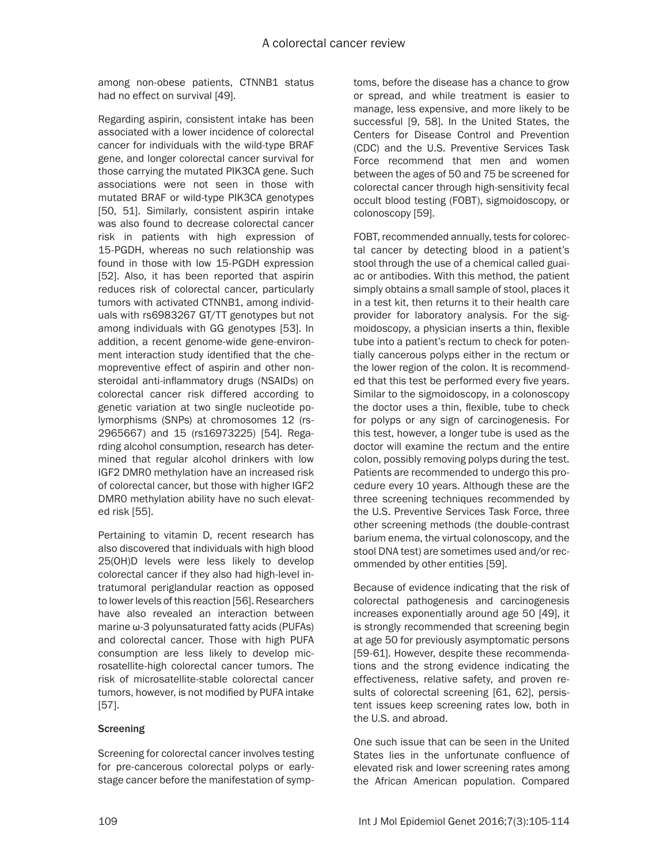among non-obese patients, CTNNB1 status had no effect on survival [49].

Regarding aspirin, consistent intake has been associated with a lower incidence of colorectal cancer for individuals with the wild-type BRAF gene, and longer colorectal cancer survival for those carrying the mutated PIK3CA gene. Such associations were not seen in those with mutated BRAF or wild-type PIK3CA genotypes [50, 51]. Similarly, consistent aspirin intake was also found to decrease colorectal cancer risk in patients with high expression of 15-PGDH, whereas no such relationship was found in those with low 15-PGDH expression [52]. Also, it has been reported that aspirin reduces risk of colorectal cancer, particularly tumors with activated CTNNB1, among individuals with rs6983267 GT/TT genotypes but not among individuals with GG genotypes [53]. In addition, a recent genome-wide gene-environment interaction study identified that the chemopreventive effect of aspirin and other nonsteroidal anti-inflammatory drugs (NSAIDs) on colorectal cancer risk differed according to genetic variation at two single nucleotide polymorphisms (SNPs) at chromosomes 12 (rs-2965667) and 15 (rs16973225) [54]. Regarding alcohol consumption, research has determined that regular alcohol drinkers with low IGF2 DMR0 methylation have an increased risk of colorectal cancer, but those with higher IGF2 DMR0 methylation ability have no such elevated risk [55].

Pertaining to vitamin D, recent research has also discovered that individuals with high blood 25(OH)D levels were less likely to develop colorectal cancer if they also had high-level intratumoral periglandular reaction as opposed to lower levels of this reaction [56]. Researchers have also revealed an interaction between marine ω-3 polyunsaturated fatty acids (PUFAs) and colorectal cancer. Those with high PUFA consumption are less likely to develop microsatellite-high colorectal cancer tumors. The risk of microsatellite-stable colorectal cancer tumors, however, is not modified by PUFA intake [57].

# **Screening**

Screening for colorectal cancer involves testing for pre-cancerous colorectal polyps or earlystage cancer before the manifestation of symptoms, before the disease has a chance to grow or spread, and while treatment is easier to manage, less expensive, and more likely to be successful [9, 58]. In the United States, the Centers for Disease Control and Prevention (CDC) and the U.S. Preventive Services Task Force recommend that men and women between the ages of 50 and 75 be screened for colorectal cancer through high-sensitivity fecal occult blood testing (FOBT), sigmoidoscopy, or colonoscopy [59].

FOBT, recommended annually, tests for colorectal cancer by detecting blood in a patient's stool through the use of a chemical called guaiac or antibodies. With this method, the patient simply obtains a small sample of stool, places it in a test kit, then returns it to their health care provider for laboratory analysis. For the sigmoidoscopy, a physician inserts a thin, flexible tube into a patient's rectum to check for potentially cancerous polyps either in the rectum or the lower region of the colon. It is recommended that this test be performed every five years. Similar to the sigmoidoscopy, in a colonoscopy the doctor uses a thin, flexible, tube to check for polyps or any sign of carcinogenesis. For this test, however, a longer tube is used as the doctor will examine the rectum and the entire colon, possibly removing polyps during the test. Patients are recommended to undergo this procedure every 10 years. Although these are the three screening techniques recommended by the U.S. Preventive Services Task Force, three other screening methods (the double-contrast barium enema, the virtual colonoscopy, and the stool DNA test) are sometimes used and/or recommended by other entities [59].

Because of evidence indicating that the risk of colorectal pathogenesis and carcinogenesis increases exponentially around age 50 [49], it is strongly recommended that screening begin at age 50 for previously asymptomatic persons [59-61]. However, despite these recommendations and the strong evidence indicating the effectiveness, relative safety, and proven results of colorectal screening [61, 62], persistent issues keep screening rates low, both in the U.S. and abroad.

One such issue that can be seen in the United States lies in the unfortunate confluence of elevated risk and lower screening rates among the African American population. Compared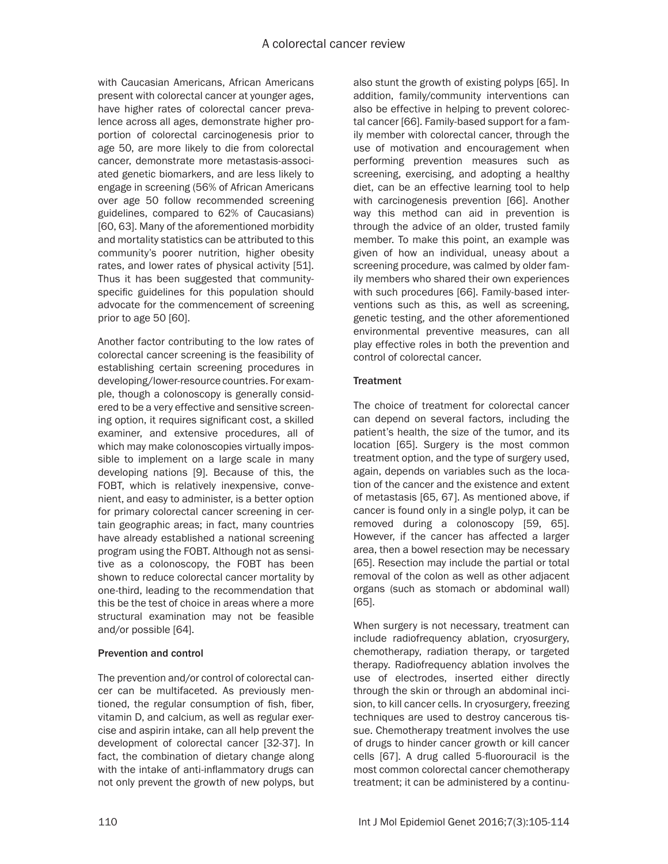with Caucasian Americans, African Americans present with colorectal cancer at younger ages, have higher rates of colorectal cancer prevalence across all ages, demonstrate higher proportion of colorectal carcinogenesis prior to age 50, are more likely to die from colorectal cancer, demonstrate more metastasis-associated genetic biomarkers, and are less likely to engage in screening (56% of African Americans over age 50 follow recommended screening guidelines, compared to 62% of Caucasians) [60, 63]. Many of the aforementioned morbidity and mortality statistics can be attributed to this community's poorer nutrition, higher obesity rates, and lower rates of physical activity [51]. Thus it has been suggested that communityspecific guidelines for this population should advocate for the commencement of screening prior to age 50 [60].

Another factor contributing to the low rates of colorectal cancer screening is the feasibility of establishing certain screening procedures in developing/lower-resource countries. For example, though a colonoscopy is generally considered to be a very effective and sensitive screening option, it requires significant cost, a skilled examiner, and extensive procedures, all of which may make colonoscopies virtually impossible to implement on a large scale in many developing nations [9]. Because of this, the FOBT, which is relatively inexpensive, convenient, and easy to administer, is a better option for primary colorectal cancer screening in certain geographic areas; in fact, many countries have already established a national screening program using the FOBT. Although not as sensitive as a colonoscopy, the FOBT has been shown to reduce colorectal cancer mortality by one-third, leading to the recommendation that this be the test of choice in areas where a more structural examination may not be feasible and/or possible [64].

# Prevention and control

The prevention and/or control of colorectal cancer can be multifaceted. As previously mentioned, the regular consumption of fish, fiber, vitamin D, and calcium, as well as regular exercise and aspirin intake, can all help prevent the development of colorectal cancer [32-37]. In fact, the combination of dietary change along with the intake of anti-inflammatory drugs can not only prevent the growth of new polyps, but also stunt the growth of existing polyps [65]. In addition, family/community interventions can also be effective in helping to prevent colorectal cancer [66]. Family-based support for a family member with colorectal cancer, through the use of motivation and encouragement when performing prevention measures such as screening, exercising, and adopting a healthy diet, can be an effective learning tool to help with carcinogenesis prevention [66]. Another way this method can aid in prevention is through the advice of an older, trusted family member. To make this point, an example was given of how an individual, uneasy about a screening procedure, was calmed by older family members who shared their own experiences with such procedures [66]. Family-based interventions such as this, as well as screening, genetic testing, and the other aforementioned environmental preventive measures, can all play effective roles in both the prevention and control of colorectal cancer.

# **Treatment**

The choice of treatment for colorectal cancer can depend on several factors, including the patient's health, the size of the tumor, and its location [65]. Surgery is the most common treatment option, and the type of surgery used, again, depends on variables such as the location of the cancer and the existence and extent of metastasis [65, 67]. As mentioned above, if cancer is found only in a single polyp, it can be removed during a colonoscopy [59, 65]. However, if the cancer has affected a larger area, then a bowel resection may be necessary [65]. Resection may include the partial or total removal of the colon as well as other adjacent organs (such as stomach or abdominal wall) [65].

When surgery is not necessary, treatment can include radiofrequency ablation, cryosurgery, chemotherapy, radiation therapy, or targeted therapy. Radiofrequency ablation involves the use of electrodes, inserted either directly through the skin or through an abdominal incision, to kill cancer cells. In cryosurgery, freezing techniques are used to destroy cancerous tissue. Chemotherapy treatment involves the use of drugs to hinder cancer growth or kill cancer cells [67]. A drug called 5-fluorouracil is the most common colorectal cancer chemotherapy treatment; it can be administered by a continu-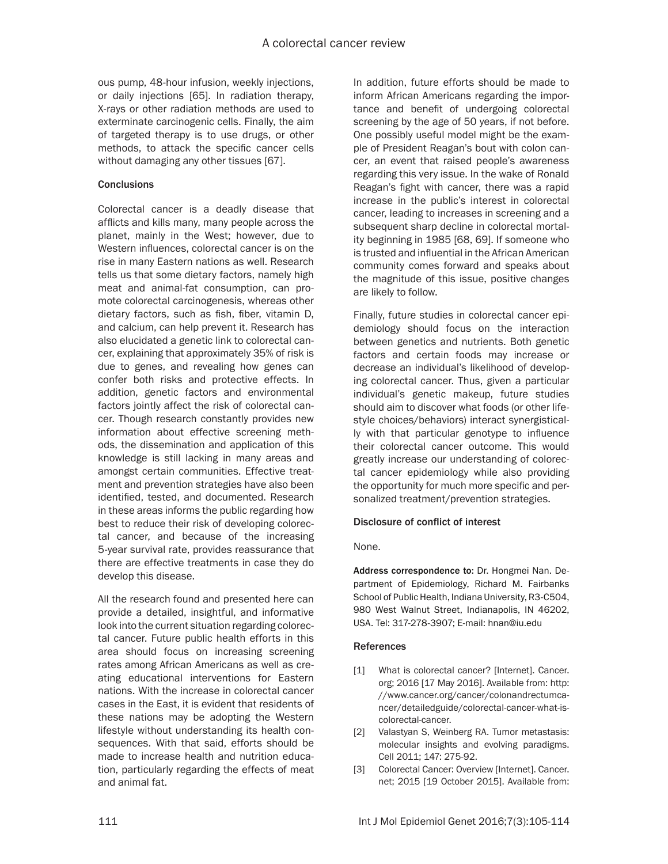ous pump, 48-hour infusion, weekly injections, or daily injections [65]. In radiation therapy, X-rays or other radiation methods are used to exterminate carcinogenic cells. Finally, the aim of targeted therapy is to use drugs, or other methods, to attack the specific cancer cells without damaging any other tissues [67].

### **Conclusions**

Colorectal cancer is a deadly disease that afflicts and kills many, many people across the planet, mainly in the West; however, due to Western influences, colorectal cancer is on the rise in many Eastern nations as well. Research tells us that some dietary factors, namely high meat and animal-fat consumption, can promote colorectal carcinogenesis, whereas other dietary factors, such as fish, fiber, vitamin D, and calcium, can help prevent it. Research has also elucidated a genetic link to colorectal cancer, explaining that approximately 35% of risk is due to genes, and revealing how genes can confer both risks and protective effects. In addition, genetic factors and environmental factors jointly affect the risk of colorectal cancer. Though research constantly provides new information about effective screening methods, the dissemination and application of this knowledge is still lacking in many areas and amongst certain communities. Effective treatment and prevention strategies have also been identified, tested, and documented. Research in these areas informs the public regarding how best to reduce their risk of developing colorectal cancer, and because of the increasing 5-year survival rate, provides reassurance that there are effective treatments in case they do develop this disease.

All the research found and presented here can provide a detailed, insightful, and informative look into the current situation regarding colorectal cancer. Future public health efforts in this area should focus on increasing screening rates among African Americans as well as creating educational interventions for Eastern nations. With the increase in colorectal cancer cases in the East, it is evident that residents of these nations may be adopting the Western lifestyle without understanding its health consequences. With that said, efforts should be made to increase health and nutrition education, particularly regarding the effects of meat and animal fat.

In addition, future efforts should be made to inform African Americans regarding the importance and benefit of undergoing colorectal screening by the age of 50 years, if not before. One possibly useful model might be the example of President Reagan's bout with colon cancer, an event that raised people's awareness regarding this very issue. In the wake of Ronald Reagan's fight with cancer, there was a rapid increase in the public's interest in colorectal cancer, leading to increases in screening and a subsequent sharp decline in colorectal mortality beginning in 1985 [68, 69]. If someone who is trusted and influential in the African American community comes forward and speaks about the magnitude of this issue, positive changes are likely to follow.

Finally, future studies in colorectal cancer epidemiology should focus on the interaction between genetics and nutrients. Both genetic factors and certain foods may increase or decrease an individual's likelihood of developing colorectal cancer. Thus, given a particular individual's genetic makeup, future studies should aim to discover what foods (or other lifestyle choices/behaviors) interact synergistically with that particular genotype to influence their colorectal cancer outcome. This would greatly increase our understanding of colorectal cancer epidemiology while also providing the opportunity for much more specific and personalized treatment/prevention strategies.

### Disclosure of conflict of interest

### None.

Address correspondence to: Dr. Hongmei Nan. Department of Epidemiology, Richard M. Fairbanks School of Public Health, Indiana University, R3-C504, 980 West Walnut Street, Indianapolis, IN 46202, USA. Tel: 317-278-3907; E-mail: hnan@iu.edu

### References

- [1] What is colorectal cancer? [Internet]. Cancer. org; 2016 [17 May 2016]. Available from: http: //www.cancer.org/cancer/colonandrectumcancer/detailedguide/colorectal-cancer-what-iscolorectal-cancer.
- [2] Valastyan S, Weinberg RA. Tumor metastasis: molecular insights and evolving paradigms. Cell 2011; 147: 275-92.
- [3] Colorectal Cancer: Overview [Internet]. Cancer. net; 2015 [19 October 2015]. Available from: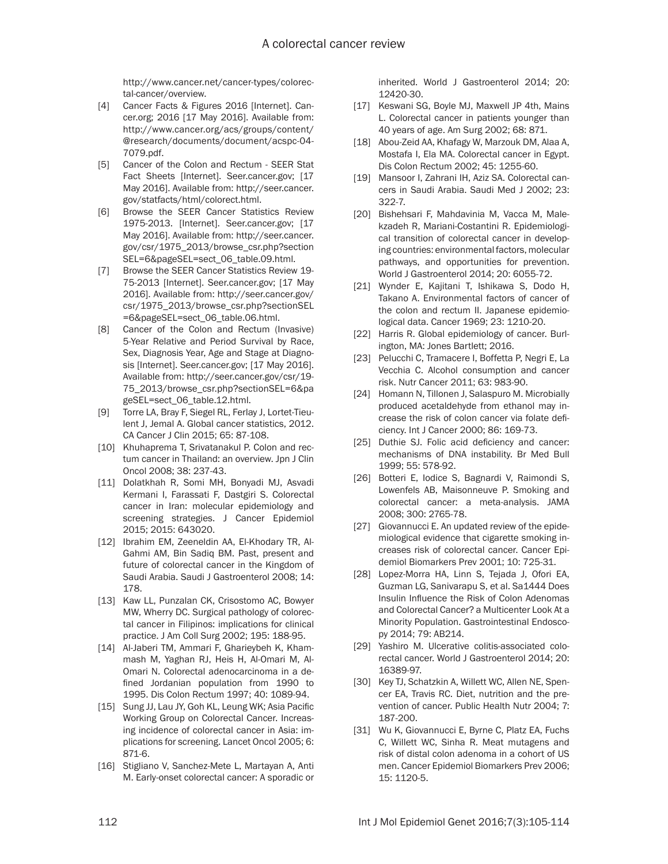http://www.cancer.net/cancer-types/colorectal-cancer/overview.

- [4] Cancer Facts & Figures 2016 [Internet]. Cancer.org; 2016 [17 May 2016]. Available from: http://www.cancer.org/acs/groups/content/ @research/documents/document/acspc-04- 7079.pdf.
- [5] Cancer of the Colon and Rectum SEER Stat Fact Sheets [Internet]. Seer.cancer.gov; [17 May 2016]. Available from: http://seer.cancer. gov/statfacts/html/colorect.html.
- [6] Browse the SEER Cancer Statistics Review 1975-2013. [Internet]. Seer.cancer.gov; [17 May 2016]. Available from: http://seer.cancer. gov/csr/1975\_2013/browse\_csr.php?section SEL=6&pageSEL=sect\_06\_table.09.html.
- [7] Browse the SEER Cancer Statistics Review 19- 75-2013 [Internet]. Seer.cancer.gov; [17 May 2016]. Available from: http://seer.cancer.gov/ csr/1975\_2013/browse\_csr.php?sectionSEL =6&pageSEL=sect\_06\_table.06.html.
- [8] Cancer of the Colon and Rectum (Invasive) 5-Year Relative and Period Survival by Race, Sex, Diagnosis Year, Age and Stage at Diagnosis [Internet]. Seer.cancer.gov; [17 May 2016]. Available from: http://seer.cancer.gov/csr/19- 75\_2013/browse\_csr.php?sectionSEL=6&pa geSEL=sect\_06\_table.12.html.
- [9] Torre LA, Bray F, Siegel RL, Ferlay J, Lortet-Tieulent J, Jemal A. Global cancer statistics, 2012. CA Cancer J Clin 2015; 65: 87-108.
- [10] Khuhaprema T, Srivatanakul P. Colon and rectum cancer in Thailand: an overview. Jpn J Clin Oncol 2008; 38: 237-43.
- [11] Dolatkhah R, Somi MH, Bonyadi MJ, Asvadi Kermani I, Farassati F, Dastgiri S. Colorectal cancer in Iran: molecular epidemiology and screening strategies. J Cancer Epidemiol 2015; 2015: 643020.
- [12] Ibrahim EM, Zeeneldin AA, El-Khodary TR, Al-Gahmi AM, Bin Sadiq BM. Past, present and future of colorectal cancer in the Kingdom of Saudi Arabia. Saudi J Gastroenterol 2008; 14: 178.
- [13] Kaw LL, Punzalan CK, Crisostomo AC, Bowyer MW, Wherry DC. Surgical pathology of colorectal cancer in Filipinos: implications for clinical practice. J Am Coll Surg 2002; 195: 188-95.
- [14] Al-Jaberi TM, Ammari F, Gharieybeh K, Khammash M, Yaghan RJ, Heis H, Al-Omari M, Al-Omari N. Colorectal adenocarcinoma in a defined Jordanian population from 1990 to 1995. Dis Colon Rectum 1997; 40: 1089-94.
- [15] Sung JJ, Lau JY, Goh KL, Leung WK; Asia Pacific Working Group on Colorectal Cancer. Increasing incidence of colorectal cancer in Asia: implications for screening. Lancet Oncol 2005; 6: 871-6.
- [16] Stigliano V, Sanchez-Mete L, Martayan A, Anti M. Early-onset colorectal cancer: A sporadic or

inherited. World J Gastroenterol 2014; 20: 12420-30.

- [17] Keswani SG, Boyle MJ, Maxwell JP 4th, Mains L. Colorectal cancer in patients younger than 40 years of age. Am Surg 2002; 68: 871.
- [18] Abou-Zeid AA, Khafagy W, Marzouk DM, Alaa A, Mostafa I, Ela MA. Colorectal cancer in Egypt. Dis Colon Rectum 2002; 45: 1255-60.
- [19] Mansoor I, Zahrani IH, Aziz SA. Colorectal cancers in Saudi Arabia. Saudi Med J 2002; 23: 322-7.
- [20] Bishehsari F, Mahdavinia M, Vacca M, Malekzadeh R, Mariani-Costantini R. Epidemiological transition of colorectal cancer in developing countries: environmental factors, molecular pathways, and opportunities for prevention. World J Gastroenterol 2014; 20: 6055-72.
- [21] Wynder E, Kajitani T, Ishikawa S, Dodo H, Takano A. Environmental factors of cancer of the colon and rectum II. Japanese epidemiological data. Cancer 1969; 23: 1210-20.
- [22] Harris R. Global epidemiology of cancer. Burlington, MA: Jones Bartlett; 2016.
- [23] Pelucchi C, Tramacere I, Boffetta P, Negri E, La Vecchia C. Alcohol consumption and cancer risk. Nutr Cancer 2011; 63: 983-90.
- [24] Homann N, Tillonen J, Salaspuro M. Microbially produced acetaldehyde from ethanol may increase the risk of colon cancer via folate deficiency. Int J Cancer 2000; 86: 169-73.
- [25] Duthie SJ. Folic acid deficiency and cancer: mechanisms of DNA instability. Br Med Bull 1999; 55: 578-92.
- [26] Botteri E, Iodice S, Bagnardi V, Raimondi S, Lowenfels AB, Maisonneuve P. Smoking and colorectal cancer: a meta-analysis. JAMA 2008; 300: 2765-78.
- [27] Giovannucci E. An updated review of the epidemiological evidence that cigarette smoking increases risk of colorectal cancer. Cancer Epidemiol Biomarkers Prev 2001; 10: 725-31.
- [28] Lopez-Morra HA, Linn S, Tejada J, Ofori EA, Guzman LG, Sanivarapu S, et al. Sa1444 Does Insulin Influence the Risk of Colon Adenomas and Colorectal Cancer? a Multicenter Look At a Minority Population. Gastrointestinal Endoscopy 2014; 79: AB214.
- [29] Yashiro M. Ulcerative colitis-associated colorectal cancer. World J Gastroenterol 2014; 20: 16389-97.
- [30] Key TJ, Schatzkin A, Willett WC, Allen NE, Spencer EA, Travis RC. Diet, nutrition and the prevention of cancer. Public Health Nutr 2004; 7: 187-200.
- [31] Wu K, Giovannucci E, Byrne C, Platz EA, Fuchs C, Willett WC, Sinha R. Meat mutagens and risk of distal colon adenoma in a cohort of US men. Cancer Epidemiol Biomarkers Prev 2006; 15: 1120-5.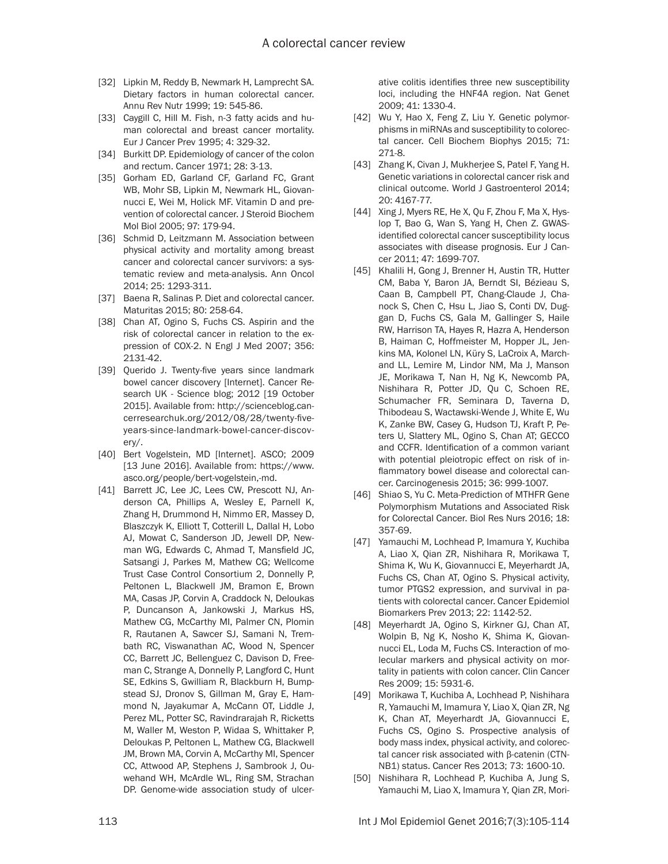- [32] Lipkin M, Reddy B, Newmark H, Lamprecht SA. Dietary factors in human colorectal cancer. Annu Rev Nutr 1999; 19: 545-86.
- [33] Caygill C, Hill M. Fish, n-3 fatty acids and human colorectal and breast cancer mortality. Eur J Cancer Prev 1995; 4: 329-32.
- [34] Burkitt DP. Epidemiology of cancer of the colon and rectum. Cancer 1971; 28: 3-13.
- [35] Gorham ED, Garland CF, Garland FC, Grant WB, Mohr SB, Lipkin M, Newmark HL, Giovannucci E, Wei M, Holick MF. Vitamin D and prevention of colorectal cancer. J Steroid Biochem Mol Biol 2005; 97: 179-94.
- [36] Schmid D, Leitzmann M. Association between physical activity and mortality among breast cancer and colorectal cancer survivors: a systematic review and meta-analysis. Ann Oncol 2014; 25: 1293-311.
- [37] Baena R, Salinas P. Diet and colorectal cancer. Maturitas 2015; 80: 258-64.
- [38] Chan AT, Ogino S, Fuchs CS. Aspirin and the risk of colorectal cancer in relation to the expression of COX-2. N Engl J Med 2007; 356: 2131-42.
- [39] Querido J. Twenty-five years since landmark bowel cancer discovery [Internet]. Cancer Research UK - Science blog; 2012 [19 October 2015]. Available from: http://scienceblog.cancerresearchuk.org/2012/08/28/twenty-fiveyears-since-landmark-bowel-cancer-discovery/.
- [40] Bert Vogelstein, MD [Internet]. ASCO; 2009 [13 June 2016]. Available from: https://www. asco.org/people/bert-vogelstein,-md.
- [41] Barrett JC, Lee JC, Lees CW, Prescott NJ, Anderson CA, Phillips A, Wesley E, Parnell K, Zhang H, Drummond H, Nimmo ER, Massey D, Blaszczyk K, Elliott T, Cotterill L, Dallal H, Lobo AJ, Mowat C, Sanderson JD, Jewell DP, Newman WG, Edwards C, Ahmad T, Mansfield JC, Satsangi J, Parkes M, Mathew CG; Wellcome Trust Case Control Consortium 2, Donnelly P, Peltonen L, Blackwell JM, Bramon E, Brown MA, Casas JP, Corvin A, Craddock N, Deloukas P, Duncanson A, Jankowski J, Markus HS, Mathew CG, McCarthy MI, Palmer CN, Plomin R, Rautanen A, Sawcer SJ, Samani N, Trembath RC, Viswanathan AC, Wood N, Spencer CC, Barrett JC, Bellenguez C, Davison D, Freeman C, Strange A, Donnelly P, Langford C, Hunt SE, Edkins S, Gwilliam R, Blackburn H, Bumpstead SJ, Dronov S, Gillman M, Gray E, Hammond N, Jayakumar A, McCann OT, Liddle J, Perez ML, Potter SC, Ravindrarajah R, Ricketts M, Waller M, Weston P, Widaa S, Whittaker P, Deloukas P, Peltonen L, Mathew CG, Blackwell JM, Brown MA, Corvin A, McCarthy MI, Spencer CC, Attwood AP, Stephens J, Sambrook J, Ouwehand WH, McArdle WL, Ring SM, Strachan DP. Genome-wide association study of ulcer-

ative colitis identifies three new susceptibility loci, including the HNF4A region. Nat Genet 2009; 41: 1330-4.

- [42] Wu Y, Hao X, Feng Z, Liu Y. Genetic polymorphisms in miRNAs and susceptibility to colorectal cancer. Cell Biochem Biophys 2015; 71: 271-8.
- [43] Zhang K, Civan J, Mukherjee S, Patel F, Yang H. Genetic variations in colorectal cancer risk and clinical outcome. World J Gastroenterol 2014; 20: 4167-77.
- [44] Xing J, Myers RE, He X, Qu F, Zhou F, Ma X, Hyslop T, Bao G, Wan S, Yang H, Chen Z. GWASidentified colorectal cancer susceptibility locus associates with disease prognosis. Eur J Cancer 2011; 47: 1699-707.
- [45] Khalili H, Gong J, Brenner H, Austin TR, Hutter CM, Baba Y, Baron JA, Berndt SI, Bézieau S, Caan B, Campbell PT, Chang-Claude J, Chanock S, Chen C, Hsu L, Jiao S, Conti DV, Duggan D, Fuchs CS, Gala M, Gallinger S, Haile RW, Harrison TA, Hayes R, Hazra A, Henderson B, Haiman C, Hoffmeister M, Hopper JL, Jenkins MA, Kolonel LN, Küry S, LaCroix A, Marchand LL, Lemire M, Lindor NM, Ma J, Manson JE, Morikawa T, Nan H, Ng K, Newcomb PA, Nishihara R, Potter JD, Qu C, Schoen RE, Schumacher FR, Seminara D, Taverna D, Thibodeau S, Wactawski-Wende J, White E, Wu K, Zanke BW, Casey G, Hudson TJ, Kraft P, Peters U, Slattery ML, Ogino S, Chan AT; GECCO and CCFR. Identification of a common variant with potential pleiotropic effect on risk of inflammatory bowel disease and colorectal cancer. Carcinogenesis 2015; 36: 999-1007.
- [46] Shiao S, Yu C. Meta-Prediction of MTHFR Gene Polymorphism Mutations and Associated Risk for Colorectal Cancer. Biol Res Nurs 2016; 18: 357-69.
- [47] Yamauchi M, Lochhead P, Imamura Y, Kuchiba A, Liao X, Qian ZR, Nishihara R, Morikawa T, Shima K, Wu K, Giovannucci E, Meyerhardt JA, Fuchs CS, Chan AT, Ogino S. Physical activity, tumor PTGS2 expression, and survival in patients with colorectal cancer. Cancer Epidemiol Biomarkers Prev 2013; 22: 1142-52.
- [48] Meyerhardt JA, Ogino S, Kirkner GJ, Chan AT, Wolpin B, Ng K, Nosho K, Shima K, Giovannucci EL, Loda M, Fuchs CS. Interaction of molecular markers and physical activity on mortality in patients with colon cancer. Clin Cancer Res 2009; 15: 5931-6.
- [49] Morikawa T, Kuchiba A, Lochhead P, Nishihara R, Yamauchi M, Imamura Y, Liao X, Qian ZR, Ng K, Chan AT, Meyerhardt JA, Giovannucci E, Fuchs CS, Ogino S. Prospective analysis of body mass index, physical activity, and colorectal cancer risk associated with β-catenin (CTN-NB1) status. Cancer Res 2013; 73: 1600-10.
- [50] Nishihara R, Lochhead P, Kuchiba A, Jung S, Yamauchi M, Liao X, Imamura Y, Qian ZR, Mori-